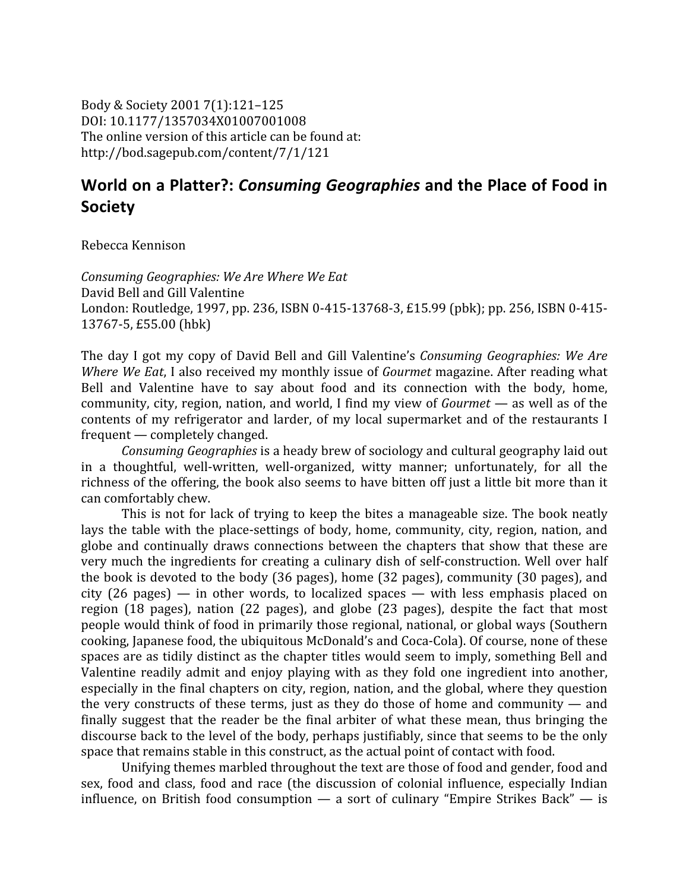Body
&
Society
2001
7(1):121–125 DOI:
10.1177/1357034X01007001008 The online version of this article can be found at: http://bod.sagepub.com/content/7/1/121

## World on a Platter?: *Consuming Geographies* and the Place of Food in **Society**

Rebecca
Kennison

*Consuming
Geographies:
We
Are
Where
We
Eat* David
Bell
and
Gill
Valentine London: Routledge, 1997, pp. 236, ISBN 0-415-13768-3, £15.99 (pbk); pp. 256, ISBN 0-415-13767‐5,
£55.00
(hbk)

The day I got my copy of David Bell and Gill Valentine's *Consuming Geographies: We Are* Where We Eat, I also received my monthly issue of *Gourmet* magazine. After reading what Bell and Valentine have to say about food and its connection with the body, home, community,
city,
region,
nation,
and
world,
 I
 find
my
view
of *Gourmet* —
as
well
as
of
the contents of my refrigerator and larder, of my local supermarket and of the restaurants I frequent
—
completely
changed.

Consuming Geographies is a heady brew of sociology and cultural geography laid out in a thoughtful, well-written, well-organized, witty manner; unfortunately, for all the richness of the offering, the book also seems to have bitten off just a little bit more than it can
comfortably
chew.

This is not for lack of trying to keep the bites a manageable size. The book neatly lays the table with the place-settings of body, home, community, city, region, nation, and globe
 and
 continually
 draws
 connections
 between
 the
 chapters
 that
 show
 that
 these
 are very much the ingredients for creating a culinary dish of self-construction. Well over half the
book
is
devoted
to
the
body
(36
pages),
home
(32
pages),
community
(30
pages),
and city
 (26
 pages) —
 in
 other
 words,
 to
 localized
 spaces —
 with
 less
 emphasis
 placed
 on region (18 pages), nation (22 pages), and globe (23 pages), despite the fact that most people
would
think
of
food
in
primarily
those
regional,
national,
or
global
ways
(Southern cooking,
Japanese
food,
the
ubiquitous
McDonald's
and
Coca‐Cola).
Of
course,
none
of
these spaces are as tidily distinct as the chapter titles would seem to imply, something Bell and Valentine readily admit and enjoy playing with as they fold one ingredient into another, especially
in
the
final
chapters
on
city,
region,
nation,
and
the
global,
where
they
question the very constructs of these terms, just as they do those of home and community — and finally suggest that the reader be the final arbiter of what these mean, thus bringing the discourse back to the level of the body, perhaps justifiably, since that seems to be the only space that remains stable in this construct, as the actual point of contact with food.

Unifying themes marbled throughout the text are those of food and gender, food and sex, food and class, food and race (the discussion of colonial influence, especially Indian influence, on British food consumption — a sort of culinary "Empire Strikes Back" — is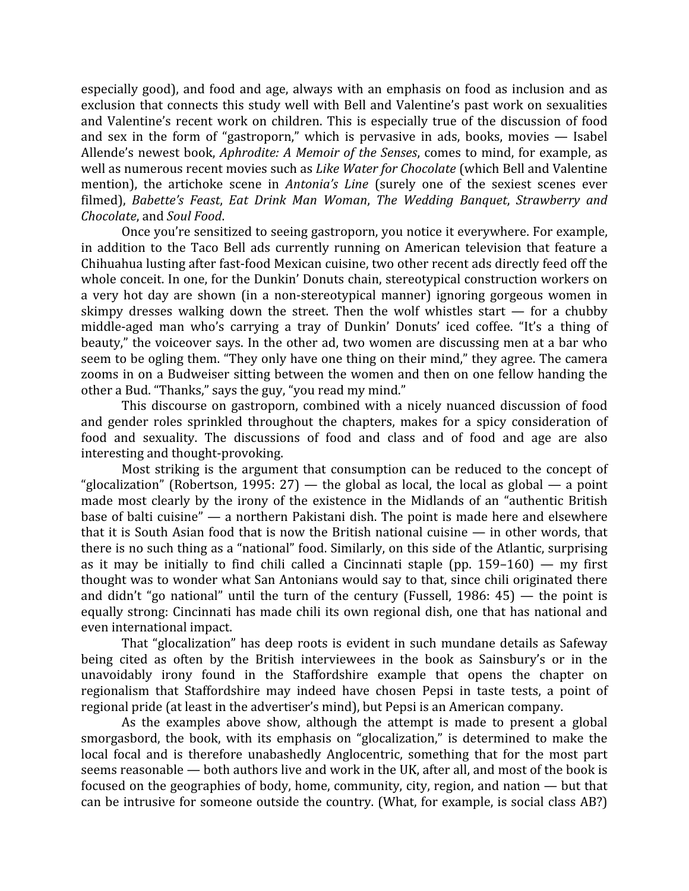especially good), and food and age, always with an emphasis on food as inclusion and as exclusion that connects this study well with Bell and Valentine's past work on sexualities and
 Valentine's
 recent
work
 on
 children.
 This
is
 especially
 true
 of
 the
 discussion
 of
 food and sex in the form of "gastroporn," which is pervasive in ads, books, movies - Isabel Allende's newest book, *Aphrodite: A Memoir of the Senses*, comes to mind, for example, as well
as
numerous
recent
movies
such
as *Like
Water
for
Chocolate*(which
Bell
and
Valentine mention), the artichoke scene in *Antonia's Line* (surely one of the sexiest scenes ever filmed), Babette's Feast, Eat Drink Man Woman, The Wedding Banquet, Strawberry and *Chocolate*,
and *Soul
Food*.

Once you're sensitized to seeing gastroporn, you notice it everywhere. For example, in addition to the Taco Bell ads currently running on American television that feature a Chihuahua lusting after fast-food Mexican cuisine, two other recent ads directly feed off the whole conceit. In one, for the Dunkin' Donuts chain, stereotypical construction workers on a very hot day are shown (in a non-stereotypical manner) ignoring gorgeous women in skimpy dresses walking down the street. Then the wolf whistles start  $-$  for a chubby middle-aged man who's carrying a tray of Dunkin' Donuts' iced coffee. "It's a thing of beauty," the voiceover says. In the other ad, two women are discussing men at a bar who seem to be ogling them. "They only have one thing on their mind," they agree. The camera zooms in on a Budweiser sitting between the women and then on one fellow handing the other
a
Bud.
"Thanks,"
says
the
guy,
"you
read
my
mind."

This discourse on gastroporn, combined with a nicely nuanced discussion of food and
 gender
 roles
 sprinkled
 throughout
 the
 chapters,
 makes
 for
 a
 spicy
 consideration
 of food and sexuality. The discussions of food and class and of food and age are also interesting
and
thought‐provoking.

Most striking is the argument that consumption can be reduced to the concept of "glocalization" (Robertson, 1995: 27) — the global as local, the local as global — a point made most clearly by the irony of the existence in the Midlands of an "authentic British base
of
balti
cuisine"
— a
northern
Pakistani
dish.
The
point
is
made
here
and
elsewhere that it is South Asian food that is now the British national cuisine — in other words, that there is no such thing as a "national" food. Similarly, on this side of the Atlantic, surprising as it may be initially to find chili called a Cincinnati staple (pp. 159–160) — my first thought
was
to
wonder
what
San
Antonians
would
say
to
that,
since
chili
originated
there and didn't "go national" until the turn of the century (Fussell, 1986: 45) — the point is equally strong: Cincinnati has made chili its own regional dish, one that has national and even
international
impact.

That
 "glocalization"
 has
 deep
 roots
is
evident
in
 such
mundane
 details
as
Safeway being cited as often by the British interviewees in the book as Sainsbury's or in the unavoidably irony found in the Staffordshire example that opens the chapter on regionalism that Staffordshire may indeed have chosen Pepsi in taste tests, a point of regional
pride
(at
least
in
the
advertiser's
mind),
but
Pepsi
is
an
American
company.

As the examples above show, although the attempt is made to present a global smorgasbord, the book, with its emphasis on "glocalization," is determined to make the local focal and is therefore unabashedly Anglocentric, something that for the most part seems reasonable — both authors live and work in the UK, after all, and most of the book is focused on the geographies of body, home, community, city, region, and nation — but that can
be
intrusive
 for
someone
outside
the
country.
(What,
 for
example,
is
social
class
AB?)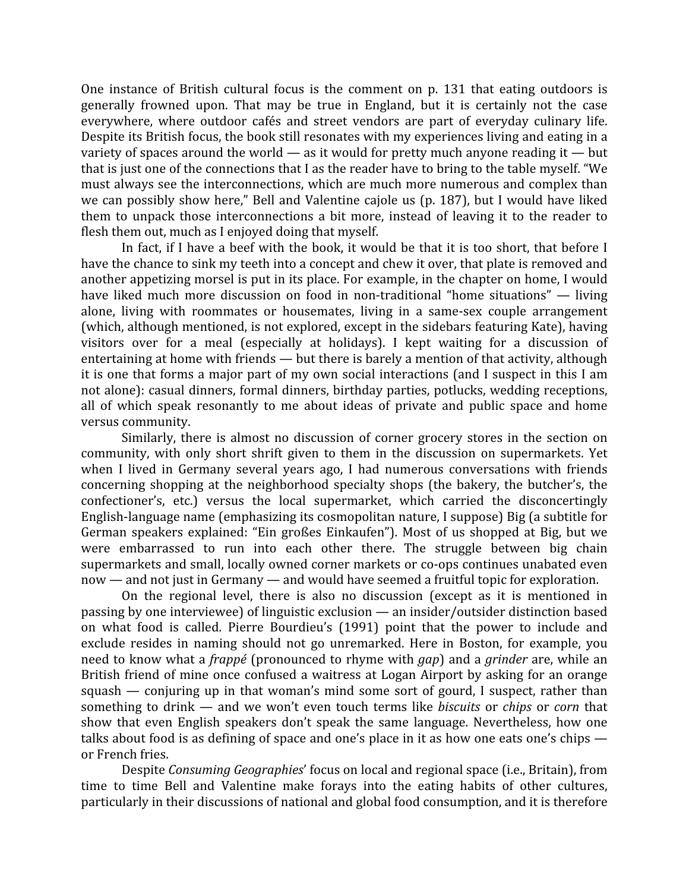One instance of British cultural focus is the comment on p. 131 that eating outdoors is generally frowned upon. That may be true in England, but it is certainly not the case everywhere, where outdoor cafés and street vendors are part of everyday culinary life. Despite its British focus, the book still resonates with my experiences living and eating in a variety of spaces around the world  $-$  as it would for pretty much anyone reading it  $-$  but that is just one of the connections that I as the reader have to bring to the table myself. "We must
always
see
the
interconnections,
which
are
much
more
numerous
and
complex
than we can possibly show here," Bell and Valentine cajole us (p. 187), but I would have liked them to unpack those interconnections a bit more, instead of leaving it to the reader to flesh
them
out,
much
as
I
enjoyed
doing
that
myself.

In fact, if I have a beef with the book, it would be that it is too short, that before I have the chance to sink my teeth into a concept and chew it over, that plate is removed and another
appetizing
morsel
is
put
in
its
place.
For
example,
in
the
chapter
on
home,
I
would have liked much more discussion on food in non-traditional "home situations" — living alone,
 living
 with
 roommates
 or
 housemates,
 living
 in
 a
 same‐sex
 couple
 arrangement (which,
although
mentioned,
is
not
explored,
except
in
the
sidebars
featuring
Kate),
having visitors over for a meal (especially at holidays). I kept waiting for a discussion of entertaining
at
home
with
friends
—
but
there
is
barely
a
mention
of
that
activity,
although it is one that forms a major part of my own social interactions (and I suspect in this I am not
alone):
casual
dinners,
 formal
dinners,
birthday
parties,
potlucks,
wedding
receptions, all of which speak resonantly to me about ideas of private and public space and home versus
community.

Similarly, there is almost no discussion of corner grocery stores in the section on community,
 with
 only
 short
 shrift
 given
 to
 them
 in
 the
 discussion
 on
 supermarkets.
 Yet when I lived in Germany several years ago, I had numerous conversations with friends concerning
 shopping
 at
 the
 neighborhood
 specialty
 shops
 (the
 bakery,
 the
 butcher's,
 the confectioner's,
 etc.)
 versus
 the
 local
 supermarket,
 which
 carried
 the
 disconcertingly English-language name (emphasizing its cosmopolitan nature, I suppose) Big (a subtitle for German speakers explained: "Ein großes Einkaufen"). Most of us shopped at Big, but we were embarrassed to run into each other there. The struggle between big chain supermarkets and small, locally owned corner markets or co-ops continues unabated even now — and not just in Germany — and would have seemed a fruitful topic for exploration.

On the regional level, there is also no discussion (except as it is mentioned in passing
by
one
interviewee)
of
linguistic
exclusion
—
an
insider/outsider
distinction
based on what food is called. Pierre Bourdieu's (1991) point that the power to include and exclude resides in naming should not go unremarked. Here in Boston, for example, you need to know what a *frappé* (pronounced to rhyme with *gap*) and a *grinder* are, while an British friend of mine once confused a waitress at Logan Airport by asking for an orange squash — conjuring up in that woman's mind some sort of gourd, I suspect, rather than something to drink — and we won't even touch terms like *biscuits* or *chips* or *corn* that show
 that
 even
 English
 speakers
 don't
 speak
 the
 same
 language.
 Nevertheless,
 how
 one talks about food is as defining of space and one's place in it as how one eats one's chips or
French
fries.

Despite *Consuming Geographies'* focus on local and regional space (*i.e., Britain*), from time to time Bell and Valentine make forays into the eating habits of other cultures, particularly
in
their
discussions
of
national
and
global
food
consumption,
and
it
is
therefore